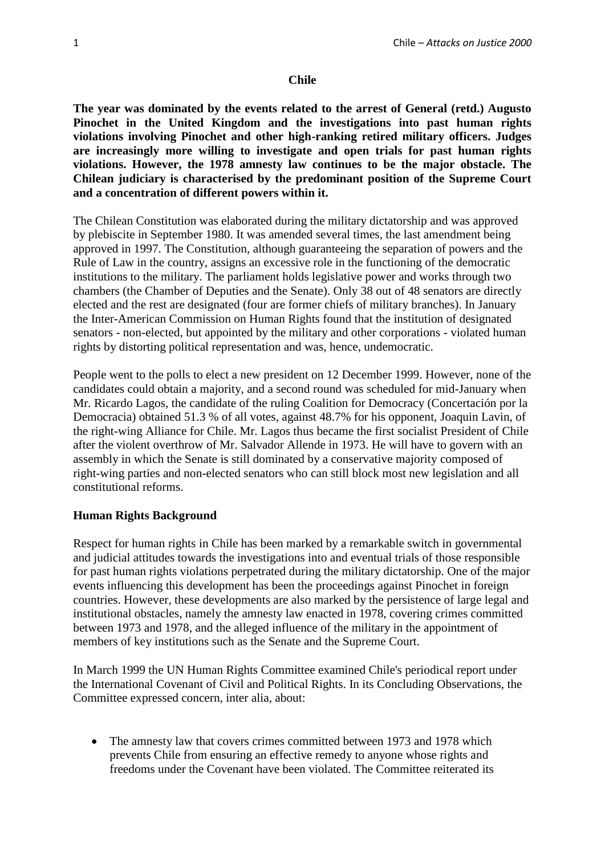#### **Chile**

**The year was dominated by the events related to the arrest of General (retd.) Augusto Pinochet in the United Kingdom and the investigations into past human rights violations involving Pinochet and other high-ranking retired military officers. Judges are increasingly more willing to investigate and open trials for past human rights violations. However, the 1978 amnesty law continues to be the major obstacle. The Chilean judiciary is characterised by the predominant position of the Supreme Court and a concentration of different powers within it.**

The Chilean Constitution was elaborated during the military dictatorship and was approved by plebiscite in September 1980. It was amended several times, the last amendment being approved in 1997. The Constitution, although guaranteeing the separation of powers and the Rule of Law in the country, assigns an excessive role in the functioning of the democratic institutions to the military. The parliament holds legislative power and works through two chambers (the Chamber of Deputies and the Senate). Only 38 out of 48 senators are directly elected and the rest are designated (four are former chiefs of military branches). In January the Inter-American Commission on Human Rights found that the institution of designated senators - non-elected, but appointed by the military and other corporations - violated human rights by distorting political representation and was, hence, undemocratic.

People went to the polls to elect a new president on 12 December 1999. However, none of the candidates could obtain a majority, and a second round was scheduled for mid-January when Mr. Ricardo Lagos, the candidate of the ruling Coalition for Democracy (Concertación por la Democracia) obtained 51.3 % of all votes, against 48.7% for his opponent, Joaquin Lavin, of the right-wing Alliance for Chile. Mr. Lagos thus became the first socialist President of Chile after the violent overthrow of Mr. Salvador Allende in 1973. He will have to govern with an assembly in which the Senate is still dominated by a conservative majority composed of right-wing parties and non-elected senators who can still block most new legislation and all constitutional reforms.

## **Human Rights Background**

Respect for human rights in Chile has been marked by a remarkable switch in governmental and judicial attitudes towards the investigations into and eventual trials of those responsible for past human rights violations perpetrated during the military dictatorship. One of the major events influencing this development has been the proceedings against Pinochet in foreign countries. However, these developments are also marked by the persistence of large legal and institutional obstacles, namely the amnesty law enacted in 1978, covering crimes committed between 1973 and 1978, and the alleged influence of the military in the appointment of members of key institutions such as the Senate and the Supreme Court.

In March 1999 the UN Human Rights Committee examined Chile's periodical report under the International Covenant of Civil and Political Rights. In its Concluding Observations, the Committee expressed concern, inter alia, about:

• The amnesty law that covers crimes committed between 1973 and 1978 which prevents Chile from ensuring an effective remedy to anyone whose rights and freedoms under the Covenant have been violated. The Committee reiterated its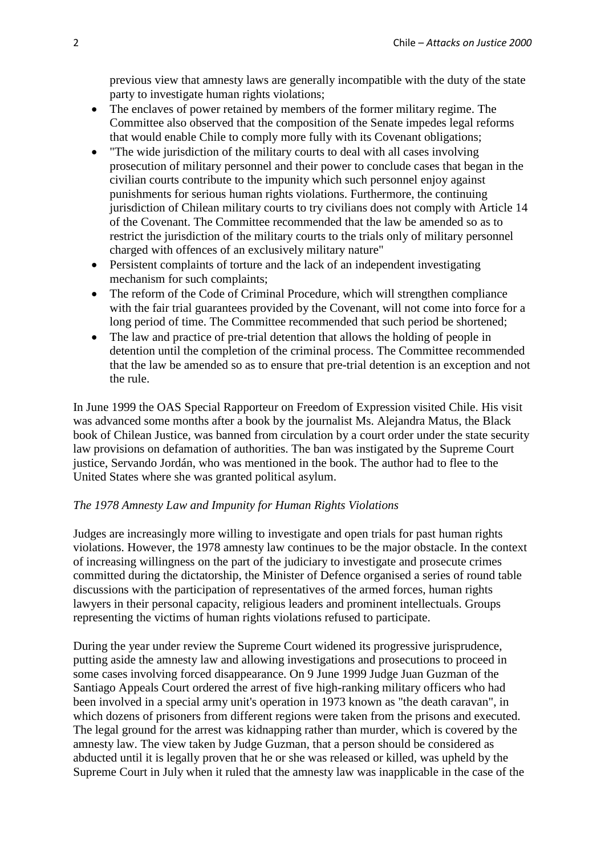previous view that amnesty laws are generally incompatible with the duty of the state party to investigate human rights violations;

- The enclaves of power retained by members of the former military regime. The Committee also observed that the composition of the Senate impedes legal reforms that would enable Chile to comply more fully with its Covenant obligations;
- "The wide jurisdiction of the military courts to deal with all cases involving prosecution of military personnel and their power to conclude cases that began in the civilian courts contribute to the impunity which such personnel enjoy against punishments for serious human rights violations. Furthermore, the continuing jurisdiction of Chilean military courts to try civilians does not comply with Article 14 of the Covenant. The Committee recommended that the law be amended so as to restrict the jurisdiction of the military courts to the trials only of military personnel charged with offences of an exclusively military nature"
- Persistent complaints of torture and the lack of an independent investigating mechanism for such complaints;
- The reform of the Code of Criminal Procedure, which will strengthen compliance with the fair trial guarantees provided by the Covenant, will not come into force for a long period of time. The Committee recommended that such period be shortened;
- The law and practice of pre-trial detention that allows the holding of people in detention until the completion of the criminal process. The Committee recommended that the law be amended so as to ensure that pre-trial detention is an exception and not the rule.

In June 1999 the OAS Special Rapporteur on Freedom of Expression visited Chile. His visit was advanced some months after a book by the journalist Ms. Alejandra Matus, the Black book of Chilean Justice, was banned from circulation by a court order under the state security law provisions on defamation of authorities. The ban was instigated by the Supreme Court justice, Servando Jordán, who was mentioned in the book. The author had to flee to the United States where she was granted political asylum.

## *The 1978 Amnesty Law and Impunity for Human Rights Violations*

Judges are increasingly more willing to investigate and open trials for past human rights violations. However, the 1978 amnesty law continues to be the major obstacle. In the context of increasing willingness on the part of the judiciary to investigate and prosecute crimes committed during the dictatorship, the Minister of Defence organised a series of round table discussions with the participation of representatives of the armed forces, human rights lawyers in their personal capacity, religious leaders and prominent intellectuals. Groups representing the victims of human rights violations refused to participate.

During the year under review the Supreme Court widened its progressive jurisprudence, putting aside the amnesty law and allowing investigations and prosecutions to proceed in some cases involving forced disappearance. On 9 June 1999 Judge Juan Guzman of the Santiago Appeals Court ordered the arrest of five high-ranking military officers who had been involved in a special army unit's operation in 1973 known as "the death caravan", in which dozens of prisoners from different regions were taken from the prisons and executed. The legal ground for the arrest was kidnapping rather than murder, which is covered by the amnesty law. The view taken by Judge Guzman, that a person should be considered as abducted until it is legally proven that he or she was released or killed, was upheld by the Supreme Court in July when it ruled that the amnesty law was inapplicable in the case of the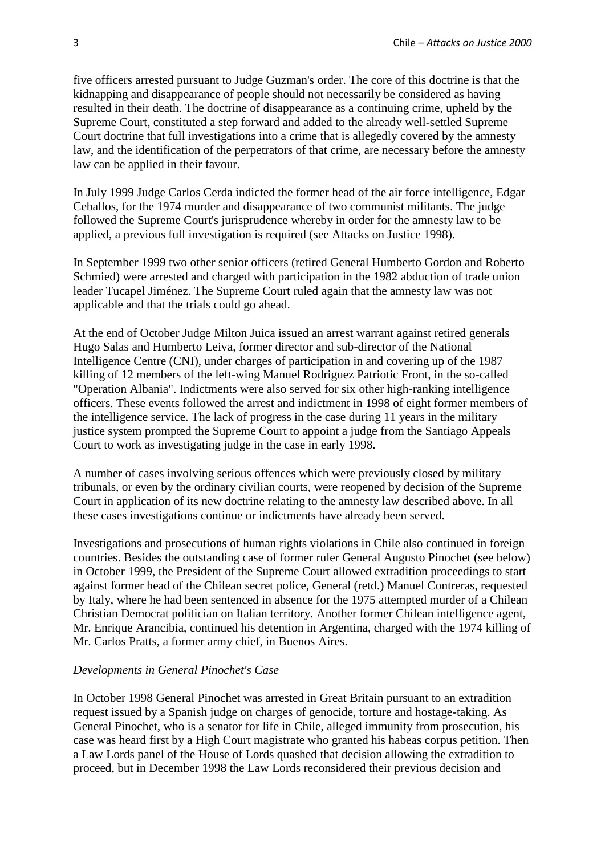five officers arrested pursuant to Judge Guzman's order. The core of this doctrine is that the kidnapping and disappearance of people should not necessarily be considered as having resulted in their death. The doctrine of disappearance as a continuing crime, upheld by the Supreme Court, constituted a step forward and added to the already well-settled Supreme Court doctrine that full investigations into a crime that is allegedly covered by the amnesty law, and the identification of the perpetrators of that crime, are necessary before the amnesty law can be applied in their favour.

In July 1999 Judge Carlos Cerda indicted the former head of the air force intelligence, Edgar Ceballos, for the 1974 murder and disappearance of two communist militants. The judge followed the Supreme Court's jurisprudence whereby in order for the amnesty law to be applied, a previous full investigation is required (see Attacks on Justice 1998).

In September 1999 two other senior officers (retired General Humberto Gordon and Roberto Schmied) were arrested and charged with participation in the 1982 abduction of trade union leader Tucapel Jiménez. The Supreme Court ruled again that the amnesty law was not applicable and that the trials could go ahead.

At the end of October Judge Milton Juica issued an arrest warrant against retired generals Hugo Salas and Humberto Leiva, former director and sub-director of the National Intelligence Centre (CNI), under charges of participation in and covering up of the 1987 killing of 12 members of the left-wing Manuel Rodriguez Patriotic Front, in the so-called "Operation Albania". Indictments were also served for six other high-ranking intelligence officers. These events followed the arrest and indictment in 1998 of eight former members of the intelligence service. The lack of progress in the case during 11 years in the military justice system prompted the Supreme Court to appoint a judge from the Santiago Appeals Court to work as investigating judge in the case in early 1998.

A number of cases involving serious offences which were previously closed by military tribunals, or even by the ordinary civilian courts, were reopened by decision of the Supreme Court in application of its new doctrine relating to the amnesty law described above. In all these cases investigations continue or indictments have already been served.

Investigations and prosecutions of human rights violations in Chile also continued in foreign countries. Besides the outstanding case of former ruler General Augusto Pinochet (see below) in October 1999, the President of the Supreme Court allowed extradition proceedings to start against former head of the Chilean secret police, General (retd.) Manuel Contreras, requested by Italy, where he had been sentenced in absence for the 1975 attempted murder of a Chilean Christian Democrat politician on Italian territory. Another former Chilean intelligence agent, Mr. Enrique Arancibia, continued his detention in Argentina, charged with the 1974 killing of Mr. Carlos Pratts, a former army chief, in Buenos Aires.

## *Developments in General Pinochet's Case*

In October 1998 General Pinochet was arrested in Great Britain pursuant to an extradition request issued by a Spanish judge on charges of genocide, torture and hostage-taking. As General Pinochet, who is a senator for life in Chile, alleged immunity from prosecution, his case was heard first by a High Court magistrate who granted his habeas corpus petition. Then a Law Lords panel of the House of Lords quashed that decision allowing the extradition to proceed, but in December 1998 the Law Lords reconsidered their previous decision and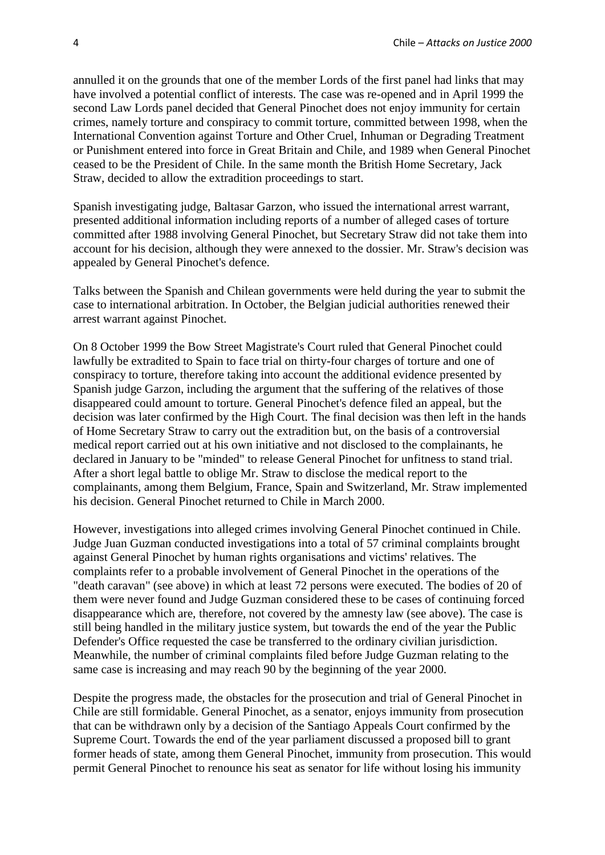annulled it on the grounds that one of the member Lords of the first panel had links that may have involved a potential conflict of interests. The case was re-opened and in April 1999 the second Law Lords panel decided that General Pinochet does not enjoy immunity for certain crimes, namely torture and conspiracy to commit torture, committed between 1998, when the International Convention against Torture and Other Cruel, Inhuman or Degrading Treatment or Punishment entered into force in Great Britain and Chile, and 1989 when General Pinochet ceased to be the President of Chile. In the same month the British Home Secretary, Jack Straw, decided to allow the extradition proceedings to start.

Spanish investigating judge, Baltasar Garzon, who issued the international arrest warrant, presented additional information including reports of a number of alleged cases of torture committed after 1988 involving General Pinochet, but Secretary Straw did not take them into account for his decision, although they were annexed to the dossier. Mr. Straw's decision was appealed by General Pinochet's defence.

Talks between the Spanish and Chilean governments were held during the year to submit the case to international arbitration. In October, the Belgian judicial authorities renewed their arrest warrant against Pinochet.

On 8 October 1999 the Bow Street Magistrate's Court ruled that General Pinochet could lawfully be extradited to Spain to face trial on thirty-four charges of torture and one of conspiracy to torture, therefore taking into account the additional evidence presented by Spanish judge Garzon, including the argument that the suffering of the relatives of those disappeared could amount to torture. General Pinochet's defence filed an appeal, but the decision was later confirmed by the High Court. The final decision was then left in the hands of Home Secretary Straw to carry out the extradition but, on the basis of a controversial medical report carried out at his own initiative and not disclosed to the complainants, he declared in January to be "minded" to release General Pinochet for unfitness to stand trial. After a short legal battle to oblige Mr. Straw to disclose the medical report to the complainants, among them Belgium, France, Spain and Switzerland, Mr. Straw implemented his decision. General Pinochet returned to Chile in March 2000.

However, investigations into alleged crimes involving General Pinochet continued in Chile. Judge Juan Guzman conducted investigations into a total of 57 criminal complaints brought against General Pinochet by human rights organisations and victims' relatives. The complaints refer to a probable involvement of General Pinochet in the operations of the "death caravan" (see above) in which at least 72 persons were executed. The bodies of 20 of them were never found and Judge Guzman considered these to be cases of continuing forced disappearance which are, therefore, not covered by the amnesty law (see above). The case is still being handled in the military justice system, but towards the end of the year the Public Defender's Office requested the case be transferred to the ordinary civilian jurisdiction. Meanwhile, the number of criminal complaints filed before Judge Guzman relating to the same case is increasing and may reach 90 by the beginning of the year 2000.

Despite the progress made, the obstacles for the prosecution and trial of General Pinochet in Chile are still formidable. General Pinochet, as a senator, enjoys immunity from prosecution that can be withdrawn only by a decision of the Santiago Appeals Court confirmed by the Supreme Court. Towards the end of the year parliament discussed a proposed bill to grant former heads of state, among them General Pinochet, immunity from prosecution. This would permit General Pinochet to renounce his seat as senator for life without losing his immunity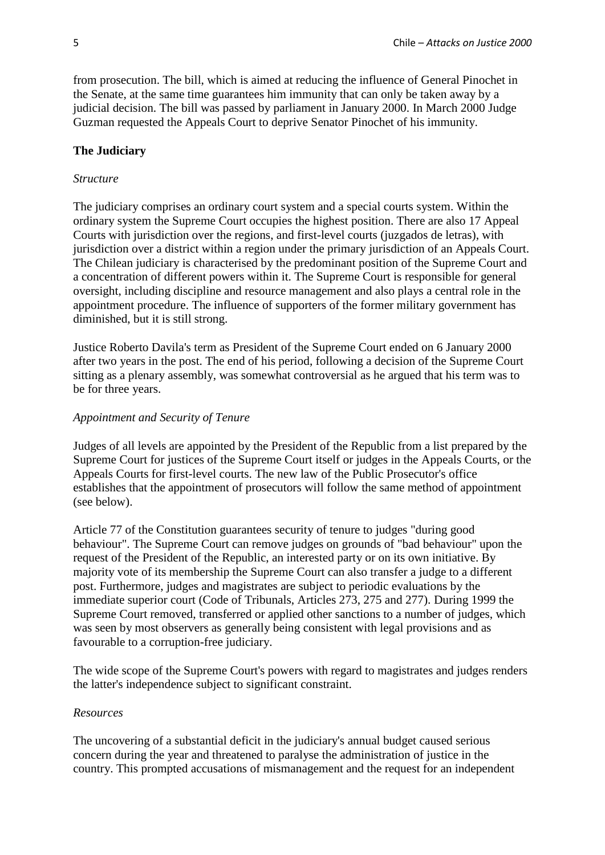from prosecution. The bill, which is aimed at reducing the influence of General Pinochet in the Senate, at the same time guarantees him immunity that can only be taken away by a judicial decision. The bill was passed by parliament in January 2000. In March 2000 Judge Guzman requested the Appeals Court to deprive Senator Pinochet of his immunity.

# **The Judiciary**

## *Structure*

The judiciary comprises an ordinary court system and a special courts system. Within the ordinary system the Supreme Court occupies the highest position. There are also 17 Appeal Courts with jurisdiction over the regions, and first-level courts (juzgados de letras), with jurisdiction over a district within a region under the primary jurisdiction of an Appeals Court. The Chilean judiciary is characterised by the predominant position of the Supreme Court and a concentration of different powers within it. The Supreme Court is responsible for general oversight, including discipline and resource management and also plays a central role in the appointment procedure. The influence of supporters of the former military government has diminished, but it is still strong.

Justice Roberto Davila's term as President of the Supreme Court ended on 6 January 2000 after two years in the post. The end of his period, following a decision of the Supreme Court sitting as a plenary assembly, was somewhat controversial as he argued that his term was to be for three years.

# *Appointment and Security of Tenure*

Judges of all levels are appointed by the President of the Republic from a list prepared by the Supreme Court for justices of the Supreme Court itself or judges in the Appeals Courts, or the Appeals Courts for first-level courts. The new law of the Public Prosecutor's office establishes that the appointment of prosecutors will follow the same method of appointment (see below).

Article 77 of the Constitution guarantees security of tenure to judges "during good behaviour". The Supreme Court can remove judges on grounds of "bad behaviour" upon the request of the President of the Republic, an interested party or on its own initiative. By majority vote of its membership the Supreme Court can also transfer a judge to a different post. Furthermore, judges and magistrates are subject to periodic evaluations by the immediate superior court (Code of Tribunals, Articles 273, 275 and 277). During 1999 the Supreme Court removed, transferred or applied other sanctions to a number of judges, which was seen by most observers as generally being consistent with legal provisions and as favourable to a corruption-free judiciary.

The wide scope of the Supreme Court's powers with regard to magistrates and judges renders the latter's independence subject to significant constraint.

## *Resources*

The uncovering of a substantial deficit in the judiciary's annual budget caused serious concern during the year and threatened to paralyse the administration of justice in the country. This prompted accusations of mismanagement and the request for an independent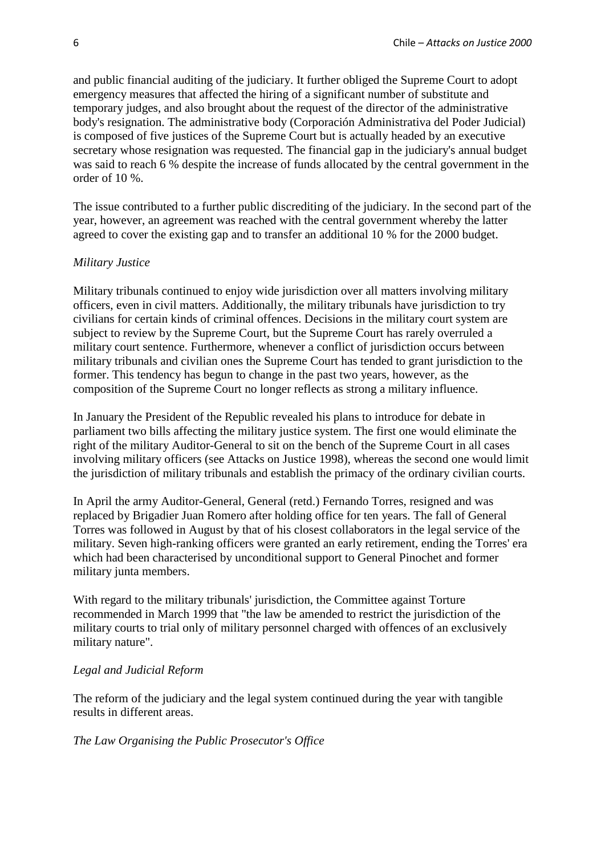and public financial auditing of the judiciary. It further obliged the Supreme Court to adopt emergency measures that affected the hiring of a significant number of substitute and temporary judges, and also brought about the request of the director of the administrative body's resignation. The administrative body (Corporación Administrativa del Poder Judicial) is composed of five justices of the Supreme Court but is actually headed by an executive secretary whose resignation was requested. The financial gap in the judiciary's annual budget was said to reach 6 % despite the increase of funds allocated by the central government in the order of 10 %.

The issue contributed to a further public discrediting of the judiciary. In the second part of the year, however, an agreement was reached with the central government whereby the latter agreed to cover the existing gap and to transfer an additional 10 % for the 2000 budget.

#### *Military Justice*

Military tribunals continued to enjoy wide jurisdiction over all matters involving military officers, even in civil matters. Additionally, the military tribunals have jurisdiction to try civilians for certain kinds of criminal offences. Decisions in the military court system are subject to review by the Supreme Court, but the Supreme Court has rarely overruled a military court sentence. Furthermore, whenever a conflict of jurisdiction occurs between military tribunals and civilian ones the Supreme Court has tended to grant jurisdiction to the former. This tendency has begun to change in the past two years, however, as the composition of the Supreme Court no longer reflects as strong a military influence.

In January the President of the Republic revealed his plans to introduce for debate in parliament two bills affecting the military justice system. The first one would eliminate the right of the military Auditor-General to sit on the bench of the Supreme Court in all cases involving military officers (see Attacks on Justice 1998), whereas the second one would limit the jurisdiction of military tribunals and establish the primacy of the ordinary civilian courts.

In April the army Auditor-General, General (retd.) Fernando Torres, resigned and was replaced by Brigadier Juan Romero after holding office for ten years. The fall of General Torres was followed in August by that of his closest collaborators in the legal service of the military. Seven high-ranking officers were granted an early retirement, ending the Torres' era which had been characterised by unconditional support to General Pinochet and former military junta members.

With regard to the military tribunals' jurisdiction, the Committee against Torture recommended in March 1999 that "the law be amended to restrict the jurisdiction of the military courts to trial only of military personnel charged with offences of an exclusively military nature".

#### *Legal and Judicial Reform*

The reform of the judiciary and the legal system continued during the year with tangible results in different areas.

## *The Law Organising the Public Prosecutor's Office*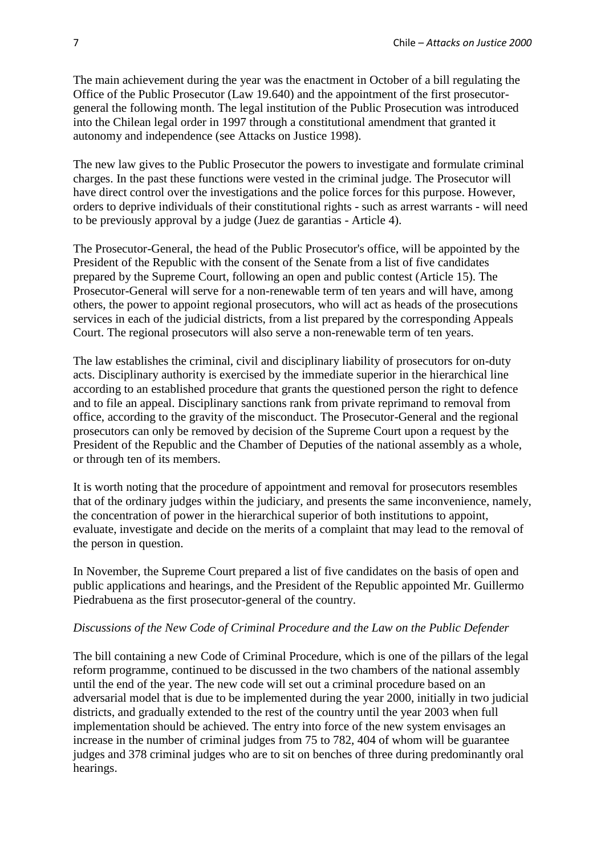The main achievement during the year was the enactment in October of a bill regulating the Office of the Public Prosecutor (Law 19.640) and the appointment of the first prosecutorgeneral the following month. The legal institution of the Public Prosecution was introduced into the Chilean legal order in 1997 through a constitutional amendment that granted it autonomy and independence (see Attacks on Justice 1998).

The new law gives to the Public Prosecutor the powers to investigate and formulate criminal charges. In the past these functions were vested in the criminal judge. The Prosecutor will have direct control over the investigations and the police forces for this purpose. However, orders to deprive individuals of their constitutional rights - such as arrest warrants - will need to be previously approval by a judge (Juez de garantias - Article 4).

The Prosecutor-General, the head of the Public Prosecutor's office, will be appointed by the President of the Republic with the consent of the Senate from a list of five candidates prepared by the Supreme Court, following an open and public contest (Article 15). The Prosecutor-General will serve for a non-renewable term of ten years and will have, among others, the power to appoint regional prosecutors, who will act as heads of the prosecutions services in each of the judicial districts, from a list prepared by the corresponding Appeals Court. The regional prosecutors will also serve a non-renewable term of ten years.

The law establishes the criminal, civil and disciplinary liability of prosecutors for on-duty acts. Disciplinary authority is exercised by the immediate superior in the hierarchical line according to an established procedure that grants the questioned person the right to defence and to file an appeal. Disciplinary sanctions rank from private reprimand to removal from office, according to the gravity of the misconduct. The Prosecutor-General and the regional prosecutors can only be removed by decision of the Supreme Court upon a request by the President of the Republic and the Chamber of Deputies of the national assembly as a whole, or through ten of its members.

It is worth noting that the procedure of appointment and removal for prosecutors resembles that of the ordinary judges within the judiciary, and presents the same inconvenience, namely, the concentration of power in the hierarchical superior of both institutions to appoint, evaluate, investigate and decide on the merits of a complaint that may lead to the removal of the person in question.

In November, the Supreme Court prepared a list of five candidates on the basis of open and public applications and hearings, and the President of the Republic appointed Mr. Guillermo Piedrabuena as the first prosecutor-general of the country.

## *Discussions of the New Code of Criminal Procedure and the Law on the Public Defender*

The bill containing a new Code of Criminal Procedure, which is one of the pillars of the legal reform programme, continued to be discussed in the two chambers of the national assembly until the end of the year. The new code will set out a criminal procedure based on an adversarial model that is due to be implemented during the year 2000, initially in two judicial districts, and gradually extended to the rest of the country until the year 2003 when full implementation should be achieved. The entry into force of the new system envisages an increase in the number of criminal judges from 75 to 782, 404 of whom will be guarantee judges and 378 criminal judges who are to sit on benches of three during predominantly oral hearings.